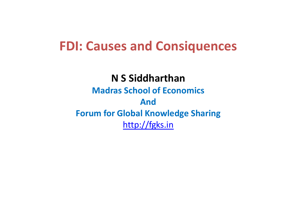# **FDI: Causes and Consiquences**

#### **N S Siddharthan Madras School of Economics**

### **And Forum for Global Knowledge Sharing** [http://fgks.in](http://fgks.in/)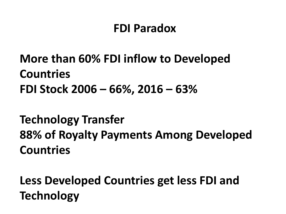# **FDI Paradox**

# **More than 60% FDI inflow to Developed Countries FDI Stock 2006 – 66%, 2016 – 63%**

**Technology Transfer 88% of Royalty Payments Among Developed Countries**

**Less Developed Countries get less FDI and Technology**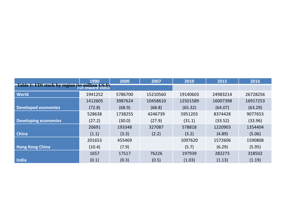|                                                                            | 1990    | 2000    | 2007     | 2010     | 2015     | 2016     |
|----------------------------------------------------------------------------|---------|---------|----------|----------|----------|----------|
| <b>Table 1: FDI stock by region (in million US \$)</b><br>FDI inward stock |         |         |          |          |          |          |
| <b>World</b>                                                               | 1941252 | 5786700 | 15210560 | 19140603 | 24983214 | 26728256 |
|                                                                            | 1412605 | 3987624 | 10458610 | 12501589 | 16007398 | 16917253 |
| <b>Developed economies</b>                                                 | (72.8)  | (68.9)  | (68.8)   | (65.32)  | (64.07)  | (63.29)  |
|                                                                            | 528638  | 1738255 | 4246739  | 5951203  | 8374428  | 9077653  |
| Developing economies                                                       | (27.2)  | (30.0)  | (27.9)   | (31.1)   | (33.52)  | (33.96)  |
|                                                                            | 20691   | 193348  | 327087   | 578818   | 1220903  | 1354404  |
| <b>China</b>                                                               | (1.1)   | (3.3)   | (2.2)    | (3.2)    | (4.89)   | (5.06)   |
|                                                                            | 201653  | 455469  |          | 1097620  | 1572606  | 1590808  |
| <b>Hong Kong China</b>                                                     | (10.4)  | (7.9)   |          | (5.7)    | (6.29)   | (5.95)   |
|                                                                            | 1657    | 17517   | 76226    | 197939   | 282273   | 318502   |
| India                                                                      | (0.1)   | (0.3)   | (0.5)    | (1.03)   | (1.13)   | (1.19)   |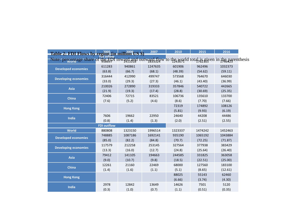| Table 2: FDI Flows by region (in million US $\frac{2005}{57!}$ inflow                                    |                    |         | 2007    | 2010    | 2015    | 2016    |  |
|----------------------------------------------------------------------------------------------------------|--------------------|---------|---------|---------|---------|---------|--|
| Note: percentage share of the EDI inward and outward flow to the world total is given in the parenthesis |                    |         |         |         |         |         |  |
|                                                                                                          | 611283             | 940861  | 1247635 | 601906  | 962496  | 1032373 |  |
| <b>Developed economies</b>                                                                               | (63.8)             | (66.7)  | (68.1)  | (48.39) | (54.62) | (59.11) |  |
| <b>Developing economies</b>                                                                              | 316444             | 412990  | 499747  | 573568  | 764670  | 646030  |  |
|                                                                                                          | (33.0)             | (29.3)  | (27.3)  | (46.1)  | (43.40) | (36.99) |  |
| <b>Asia</b>                                                                                              | 210026             | 272890  | 319333  | 357846  | 540722  | 442665  |  |
|                                                                                                          | (21.9)             | (19.3)  | (17.4)  | (28.8)  | (30.69) | (25.35) |  |
| China                                                                                                    | 72406              | 72715   | 83521   | 106736  | 135610  | 133700  |  |
|                                                                                                          | (7.6)              | (5.2)   | (4.6)   | (8.6)   | (7.70)  | (7.66)  |  |
|                                                                                                          |                    |         |         | 72319   | 174892  | 108126  |  |
| <b>Hong Kong</b>                                                                                         |                    |         |         | (5.81)  | (9.93)  | (6.19)  |  |
| India                                                                                                    | 7606               | 19662   | 22950   | 24640   | 44208   | 44486   |  |
|                                                                                                          | (0.8)              | (1.4)   | (1.3)   | (2.0)   | (2.51)  | (2.55)  |  |
|                                                                                                          | <b>FDI outflow</b> |         |         |         |         |         |  |
| <b>World</b>                                                                                             | 880808             | 1323150 | 1996514 | 1323337 | 1474242 | 1452463 |  |
| <b>Developed economies</b>                                                                               | 748885             | 1087186 | 1692141 | 935190  | 1065192 | 1043884 |  |
|                                                                                                          | (85.0)             | (82.2)  | (84.8)  | (70.7)  | (72.25) | (71.87) |  |
| <b>Developing economies</b>                                                                              | 117579             | 212258  | 253145  | 327564  | 377938  | 383429  |  |
|                                                                                                          | (13.3)             | (16.0)  | (12.7)  | (24.8)  | (25.64) | (26.40) |  |
| <b>Asia</b>                                                                                              | 79412              | 141105  | 194663  | 244585  | 331825  | 363058  |  |
|                                                                                                          | (9.0)              | (10.7)  | (9.8)   | (18.5)  | (22.51) | (25.00) |  |
| <b>China</b>                                                                                             | 12261              | 21160   | 22469   | 68000   | 127560  | 183100  |  |
|                                                                                                          | (1.4)              | (1.6)   | (1.1)   | (5.1)   | (8.65)  | (12.61) |  |
| <b>Hong Kong</b>                                                                                         |                    |         |         | 88025   | 55143   | 62460   |  |
|                                                                                                          |                    |         |         | (6.66)  | (3.74)  | (4.30)  |  |
| <b>India</b>                                                                                             | 2978               | 12842   | 13649   | 14626   | 7501    | 5120    |  |
|                                                                                                          | (0.3)              | (1.0)   | (0.7)   | (1.1)   | (0.51)  | (0.35)  |  |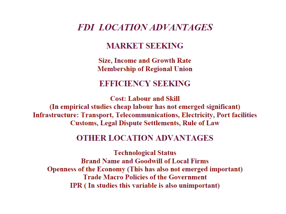#### **FDI LOCATION ADVANTAGES**

#### **MARKET SEEKING**

**Size, Income and Growth Rate Membership of Regional Union** 

#### **EFFICIENCY SEEKING**

**Cost: Labour and Skill** (In empirical studies cheap labour has not emerged significant) **Infrastructure: Transport, Telecommunications, Electricity, Port facilities Customs, Legal Dispute Settlements, Rule of Law** 

#### **OTHER LOCATION ADVANTAGES**

**Technological Status Brand Name and Goodwill of Local Firms** Openness of the Economy (This has also not emerged important) **Trade Macro Policies of the Government IPR** (In studies this variable is also unimportant)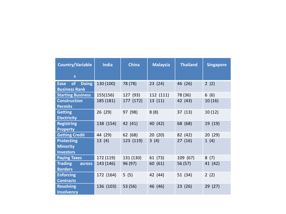| <b>Country/Variable</b>                                   | <b>India</b> | <b>China</b> | <b>Malaysia</b> | <b>Thailand</b> | <b>Singapore</b> |
|-----------------------------------------------------------|--------------|--------------|-----------------|-----------------|------------------|
| $\mathsf{s}$                                              |              |              |                 |                 |                  |
| of<br><b>Doing</b><br><b>Ease</b><br><b>Business Rank</b> | 130 (100)    | 78 (78)      | 23(24)          | 46 (26)         | 2)2)             |
| <b>Starting Business</b>                                  | 155(156)     | 127 (93)     | 112 (111)       | 78 (36)         | 6(6)             |
| <b>Construction</b><br><b>Permits</b>                     | 185 (181)    | 177 (172)    | 13(11)          | 42 (43)         | 10(16)           |
| <b>Getting</b><br><b>Electricity</b>                      | 26 (29)      | 97 (98)      | 8(8)            | 37(13)          | 10(12)           |
| <b>Registring</b><br><b>Property</b>                      | 138 (154)    | 42 (41)      | 40 (42)         | 68 (68)         | 19 (19)          |
| <b>Getting Credit</b>                                     | 44 (29)      | 62 (68)      | 20(20)          | 82 (42)         | 20 (29)          |
| <b>Protecting</b><br><b>Minority</b><br><b>Investors</b>  | 13(4)        | 123 (119)    | 3(4)            | 27(16)          | 1(4)             |
| <b>Paying Taxes</b>                                       | 172 (119)    | 131 (130)    | 61 (73)         | 109 (67)        | 8(7)             |
| <b>Trading</b><br>across<br><b>Borders</b>                | 143 (146)    | 96 (97)      | 60 (61)         | 56 (57)         | 41 (42)          |
| <b>Enforcing</b><br><b>Contracts</b>                      | 172 (164)    | 5(5)         | 42 (44)         | 51 (34)         | 2(2)             |
| <b>Resolving</b><br><b>Insolvency</b>                     | 136 (103)    | 53 (56)      | 46 (46)         | 23(26)          | 29 (27)          |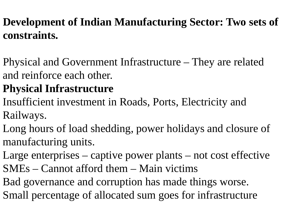# **Development of Indian Manufacturing Sector: Two sets of constraints.**

Physical and Government Infrastructure – They are related and reinforce each other.

# **Physical Infrastructure**

- Insufficient investment in Roads, Ports, Electricity and Railways.
- Long hours of load shedding, power holidays and closure of manufacturing units.
- Large enterprises captive power plants not cost effective SMEs – Cannot afford them – Main victims
- Bad governance and corruption has made things worse. Small percentage of allocated sum goes for infrastructure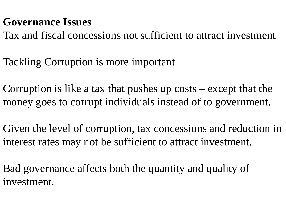### **Governance Issues**

Tax and fiscal concessions not sufficient to attract investment

Tackling Corruption is more important

Corruption is like a tax that pushes up costs – except that the money goes to corrupt individuals instead of to government.

Given the level of corruption, tax concessions and reduction in interest rates may not be sufficient to attract investment.

Bad governance affects both the quantity and quality of investment.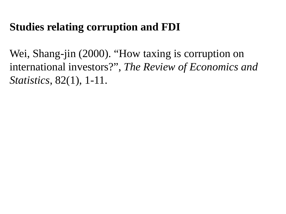### **Studies relating corruption and FDI**

Wei, Shang-jin (2000). "How taxing is corruption on international investors?", *The Review of Economics and Statistics*, 82(1), 1-11.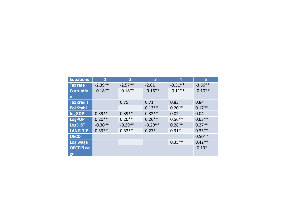| <b>Equations</b>      | 1         | $\overline{2}$ | 3         | 4         | 5         |
|-----------------------|-----------|----------------|-----------|-----------|-----------|
| Tax rate              | $-2.39**$ | $-2.57**$      | $-2.61$   | $-3.51**$ | $-3.66**$ |
| <b>Corruptio</b>      | $-0.18**$ | $-0.18**$      | $-0.16**$ | $-0.11**$ | $-0.10**$ |
| $\mathsf{n}$          |           |                |           |           |           |
| <b>Tax credit</b>     |           | 0.75           | 0.71      | 0.83      | 0.84      |
| Pol.Stabi             |           |                | $0.13**$  | $0.20**$  | $0.17**$  |
| logGDP                | $0.39**$  | $0.39**$       | $0.32**$  | 0.02      | 0.04      |
| <b>LogPOP</b>         | $0.20**$  | $0.20**$       | $0.26**$  | $0.56**$  | $0.63**$  |
| <b>LogDIST</b>        | $-0.30**$ | $-0.29**$      | $-0.29**$ | $0.28**$  | $0.27**$  |
| <b>LANG-TIE</b>       | $0.33***$ | $0.33**$       | $0.27*$   | $0.31*$   | $0.33**$  |
| <b>OECD</b>           |           |                |           |           | $0.50**$  |
| Log wage              |           |                |           | $0.35**$  | $0.42**$  |
| OECD <sup>*</sup> Lwa |           |                |           |           | $-0.19*$  |
| ge                    |           |                |           |           |           |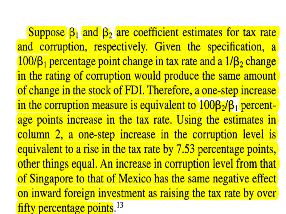Suppose  $\beta_1$  and  $\beta_2$  are coefficient estimates for tax rate and corruption, respectively. Given the specification, a  $100/\beta_1$  percentage point change in tax rate and a  $1/\beta_2$  change in the rating of corruption would produce the same amount of change in the stock of FDI. Therefore, a one-step increase in the corruption measure is equivalent to  $100\beta_2/\beta_1$  percentage points increase in the tax rate. Using the estimates in column 2, a one-step increase in the corruption level is equivalent to a rise in the tax rate by 7.53 percentage points, other things equal. An increase in corruption level from that of Singapore to that of Mexico has the same negative effect on inward foreign investment as raising the tax rate by over fifty percentage points.  $13$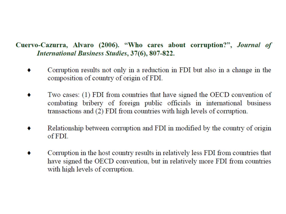#### Cuervo-Cazurra, Alvaro (2006). "Who cares about corruption?", Journal of **International Business Studies, 37(6), 807-822.**

- Corruption results not only in a reduction in FDI but also in a change in the composition of country of origin of FDI.
- Two cases: (1) FDI from countries that have signed the OECD convention of combating bribery of foreign public officials in international business transactions and (2) FDI from countries with high levels of corruption.
- Relationship between corruption and FDI in modified by the country of origin of FDI.
- Corruption in the host country results in relatively less FDI from countries that have signed the OECD convention, but in relatively more FDI from countries with high levels of corruption.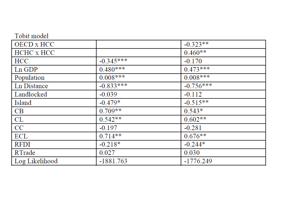| Tobit model    |             |             |
|----------------|-------------|-------------|
| OECD x HCC     |             | $-0.323**$  |
| HCHC x HCC     |             | $0.460**$   |
| <b>HCC</b>     | $-0.345***$ | $-0.170$    |
| $Ln$ GDP       | $0.480***$  | $0.473***$  |
| Population     | $0.008***$  | $0.008***$  |
| Ln Distance    | $-0.833***$ | $-0.756***$ |
| Landlocked     | $-0.039$    | $-0.112$    |
| Island         | $-0.479*$   | $-0.515**$  |
| <b>CB</b>      | $0.709**$   | $0.543*$    |
| CL             | $0.542**$   | $0.602**$   |
| CC             | $-0.197$    | $-0.281$    |
| ECL            | $0.714**$   | $0.676**$   |
| <b>RFDI</b>    | $-0.218*$   | $-0.244*$   |
| RTrade         | 0.027       | 0.030       |
| Log Likelihood | $-1881.763$ | $-1776.249$ |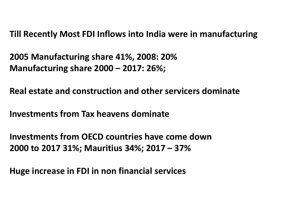**Till Recently Most FDI Inflows into India were in manufacturing**

**2005 Manufacturing share 41%, 2008: 20% Manufacturing share 2000 – 2017: 26%;**

**Real estate and construction and other servicers dominate**

**Investments from Tax heavens dominate**

**Investments from OECD countries have come down 2000 to 2017 31%; Mauritius 34%; 2017 – 37%**

**Huge increase in FDI in non financial services**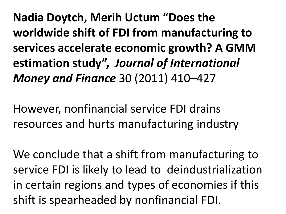**Nadia Doytch, Merih Uctum "Does the worldwide shift of FDI from manufacturing to services accelerate economic growth? A GMM estimation study",** *Journal of International Money and Finance* 30 (2011) 410–427

However, nonfinancial service FDI drains resources and hurts manufacturing industry

We conclude that a shift from manufacturing to service FDI is likely to lead to deindustrialization in certain regions and types of economies if this shift is spearheaded by nonfinancial FDI.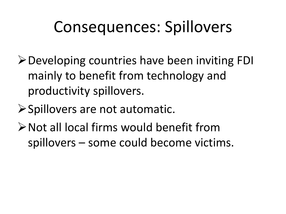# Consequences: Spillovers

- **≻Developing countries have been inviting FDI** mainly to benefit from technology and productivity spillovers.
- **≻Spillovers are not automatic.**
- Not all local firms would benefit from spillovers – some could become victims.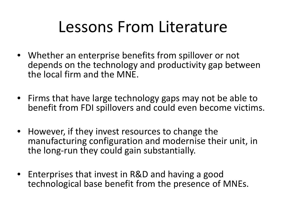# Lessons From Literature

- Whether an enterprise benefits from spillover or not depends on the technology and productivity gap between the local firm and the MNE.
- Firms that have large technology gaps may not be able to benefit from FDI spillovers and could even become victims.
- However, if they invest resources to change the manufacturing configuration and modernise their unit, in the long-run they could gain substantially.
- Enterprises that invest in R&D and having a good technological base benefit from the presence of MNEs.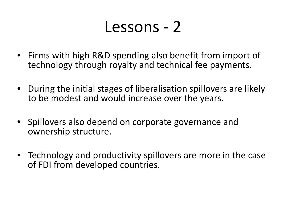# Lessons - 2

- Firms with high R&D spending also benefit from import of technology through royalty and technical fee payments.
- During the initial stages of liberalisation spillovers are likely to be modest and would increase over the years.
- Spillovers also depend on corporate governance and ownership structure.
- Technology and productivity spillovers are more in the case of FDI from developed countries.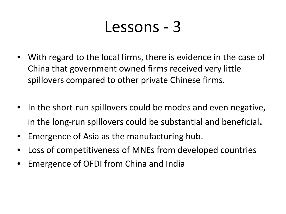# Lessons - 3

- With regard to the local firms, there is evidence in the case of China that government owned firms received very little spillovers compared to other private Chinese firms.
- In the short-run spillovers could be modes and even negative, in the long-run spillovers could be substantial and beneficial.
- Emergence of Asia as the manufacturing hub.
- Loss of competitiveness of MNEs from developed countries
- Emergence of OFDI from China and India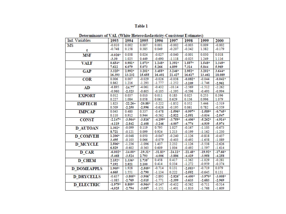#### Table 1

| Ind. Variables     | 1993      | 1994                  | 1995                  | 1996      | 1997                  | 1998      | 1999      | 2000      |
|--------------------|-----------|-----------------------|-----------------------|-----------|-----------------------|-----------|-----------|-----------|
| MS                 | $-0.010$  | 0.002                 | 0.007                 | 0.001     | $-0.002$              | $-0.003$  | 0.009     | $-0.002$  |
| t                  | $-0.748$  | 0.158                 | 0.385                 | 0.049     | $-0.207$              | $-0.342$  | 1.382     | $-0.179$  |
| <b>MSF</b>         | $-0.026*$ | 0.038                 | 0.024                 | $-0.027$  | $-0.040$              | $-0.001$  | 0.030     | 0.018     |
|                    | $-3.30$   | 1.025                 | 0.449                 | $-0.690$  | $-1.118$              | $-0.025$  | 1.249     | 1.116     |
| <b>VALF</b>        | $0.654*$  | $0.981*$              | $1.073*$              | $1.248*$  | $1.391*$              | $1.557*$  | 1.548*    | $1.349*$  |
|                    | 7.612     | 6.079                 | 5.073                 | 5.266     | 4.899                 | 7.314     | 5.844     | 5.969     |
| <b>GAP</b>         | $3.325*$  | 2.992*                | $3.201*$              | 3.455*    | $3.246*$              | 2.952*    | $3.201*$  | $3.644*$  |
|                    | 16.393    | 13.232                | 15,655                | 16.401    | 21.427                | 16.617    | 13.461    | 18.089    |
| <b>COR</b>         | 0.006     | 0.007                 | $-0.029$              | $-0.026$  | $-0.038$              | $-0.082+$ | $-0.044$  | $-0.041*$ |
|                    | 0.862     | 1.216                 | $-1.293$              | $-1.777$  | $-1.252$              | $-3.109$  | $-1.746$  | $-2.961$  |
| AD                 | $-6.895$  | $-14.77$ <sup>+</sup> | $-4.061$              | $-0.432$  | $-10.14$              | $-2.569$  | $-1.512$  | $-2.262$  |
|                    | $-0.960$  | $-2.323$              | $-0.605$              | $-0.105$  | $-1.395$              | $-0.596$  | $-0.493$  | $-0.994$  |
| <b>EXPORT</b>      | 0.012     | 0.037                 | 0.010                 | 0.011     | 0.183                 | 0.025     | 0.253     | 0.396     |
|                    | 0.227     | 1.084                 | 0.058                 | 0.061     | 0.629                 | 0.136     | 0.996     | 1.079     |
| <b>IMPTECH</b>     | 1.823     | $-22.26+$             | $-20.88*$             | $-3.222$  | $-1.852$              | 0.352     | 5.446     | $-2.519$  |
|                    | 0.509     | $-2,250$              | $-2.996$              | $-0.626$  | $-0.195$              | 0.061     | 0.782     | $-0.559$  |
| <b>IMPCAP</b>      | 0.043     | 0.480                 | 0.337                 | $-0.478$  | $-1.596*$             | $-0.997*$ | $-1.589*$ | $-0.745*$ |
|                    | 0.110     | 0.912                 | 0.944                 | $-0.562$  | $-2.822$              | $-2.551$  | $-3.034$  | -2.547    |
| <b>CONST</b>       | $-2.147*$ | $-3.564*$             | $-3.816^{+}$          | $-4.199*$ | $-3.759*$             | $-4.406*$ | $-5.262*$ | $-4.914*$ |
|                    | $-4.119$  | $-2.842$              | $-2.408$              | $-3,246$  | $-4.007$              | $-4.774$  | $-4.939$  | $-5.974$  |
| <b>D AUTOAN</b>    | $1.302*$  | $-0.099$              | 0.119                 | 0.795     | 1.027                 | $-0.167$  | $-1.103$  | $-0.673$  |
|                    | 8.721     | $-0.121$              | 0.099                 | 0.924     | 1.213                 | $-0.199$  | $-1.162$  | $-1.230$  |
| <b>D COMVEH</b>    | $1.206*$  | $-0.048$              | 0.050                 | $-0.047$  | $-0.240$              | $-1.126$  | $-0.818$  | $-0.437$  |
|                    | 3.495     | $-0.103$              | 0.066                 | $-0.079$  | $-0.403$              | $-0.492$  | $-1.658$  | $-1.089$  |
| <b>D MCYCLE</b>    | 2.506*    | $-1.236$              | $-1.096$              | 1.437     | 2.232                 | $-1.126$  | $-3.538$  | $-2.626$  |
|                    | 6.829     | $-0.602$              | $-0.363$              | 0.609     | 1.004                 | $-0.492$  | $-1.597$  | $-1.614$  |
| D CAR              | $-6.002*$ | $-14.00*$             | $-19.31*$             | $-31.83*$ | $-24.11*$             | $-21.48*$ | $-19.92*$ | $-17.66*$ |
|                    | $-5.468$  | $-3.524$              | 2,793                 | $-4.006$  | $-3.886$              | $-4.419$  | $-3.958$  | $-4.258$  |
| <b>D CHEM</b>      | 2.152*    | $1.336*$              | $1.735$ <sup>+</sup>  | 0.458     | 0.417                 | $-1.362$  | $-1.029$  | $-0.281$  |
|                    | 7.192     | 2.821                 | 2.100                 | 0.414     | 0.334                 | $-1.272$  | $-0.959$  | $-0.374$  |
| <b>D DOMEAPPLS</b> | $1.905*$  | 1.928                 | $-2.509*$             | $-0.714$  | 0.131                 | $-2.553*$ | $-0.719$  | 0.079     |
|                    | 4.665     | 1.551                 | $-2.790$              | $-1.134$  | 0.222                 | $-2.552$  | $-0.645$  | 0.131     |
| <b>D_DRYCELLS</b>  | $-0.637$  | $-3.805*$             | $-3.906$ <sup>+</sup> | $-2.893$  | $-2.826$ <sup>+</sup> | $-4.400*$ | $-3.970+$ | $-3.008*$ |
|                    | $-1.085$  | $-2.769$              | $-2.015$              | $-1.771$  | $-2.399$              | $-3.633$  | $-2.683$  | $-2.969$  |
| <b>D ELECTRIC</b>  | $-1.979*$ | $0.809*$              | $-0.964*$             | $-0.147$  | $-0.432$              | $-0.562$  | $-0.711$  | $-0.514$  |
|                    | $-4,025$  | $-2.794$              | $-3.087$              | $-1.151$  | $-1.401$              | $-1.810$  | $-1.768$  | $-1.609$  |

Determinants of VAL (White Heteroskedasticity-Consistent Estimates)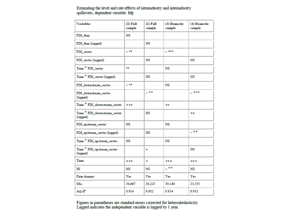Estimating the level and rate effects of intraindustry and interindustry spillovers, dependent variable: ltfp

| <b>Variables</b>                                           | $(l)$ Full<br>sample | $(2)$ Full<br>sample | (3) Domestic<br>sample | (4) Domestic<br>sample |
|------------------------------------------------------------|----------------------|----------------------|------------------------|------------------------|
| FDI firm                                                   | NS                   |                      |                        |                        |
| FDI firm (lagged)                                          |                      | NS                   |                        |                        |
| FDI sector                                                 | $-$ **               |                      | $-***$                 |                        |
| FDI sector (lagged)                                        |                      | NS                   |                        | NS                     |
| Time * FDI_sector                                          | **                   |                      | NS                     |                        |
| Time <sup>*</sup> FDI_sector (lagged)                      |                      | NS                   |                        | NS                     |
| FDI downstream sector                                      | $-$ **               |                      | NS                     |                        |
| FDI downstream sector<br>(lagged)                          |                      | _ ※※                 |                        | _ ***                  |
| Time * FDI_downstream_sector                               | ***                  |                      | **                     |                        |
| Time * FDI_downstream_sector<br>(lagged)                   |                      | NS                   |                        | **                     |
| FDI upstream sector                                        | NS                   |                      | NS                     |                        |
| FDI upstream sector (lagged)                               |                      | NS                   |                        | _ **                   |
| Time * FDI_upstream_sector                                 | NS                   |                      | NS                     |                        |
| $\mbox{Time}$ * $\mbox{FDI\_upstream\_sector}$<br>(lagged) |                      | *                    |                        | NS                     |
| Time                                                       | ***                  | *                    | ***                    | ***                    |
| HЦ                                                         | NS                   | NS                   | - **                   | NS                     |
| Firm dummy                                                 | Yes                  | Yes                  | Yes                    | Yes                    |
| Obs.                                                       | 50,667               | 30,225               | 39,140                 | 23,555                 |
| Adj- $R^2$                                                 | 0.914                | 0.932                | 0.914                  | 0.932                  |

Figures in parentheses are standard errors corrected for heteroskedasticity. Lagged indicates the independent variable is lagged by 1 year.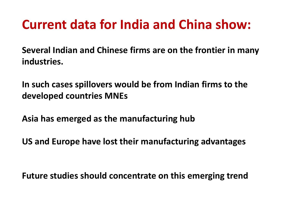# **Current data for India and China show:**

**Several Indian and Chinese firms are on the frontier in many industries.**

**In such cases spillovers would be from Indian firms to the developed countries MNEs**

**Asia has emerged as the manufacturing hub**

**US and Europe have lost their manufacturing advantages**

**Future studies should concentrate on this emerging trend**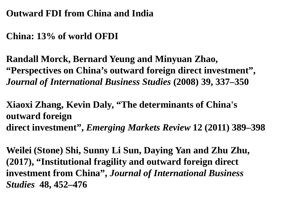#### **Outward FDI from China and India**

### **China: 13% of world OFDI**

**Randall Morck, Bernard Yeung and Minyuan Zhao, "Perspectives on China's outward foreign direct investment",**  *Journal of International Business Studies* **(2008) 39, 337–350** 

**Xiaoxi Zhang, Kevin Daly, "The determinants of China's outward foreign direct investment",** *Emerging Markets Review* **12 (2011) 389–398**

**Weilei (Stone) Shi, Sunny Li Sun, Daying Yan and Zhu Zhu, (2017), "Institutional fragility and outward foreign direct investment from China",** *Journal of International Business Studies* **48, 452–476**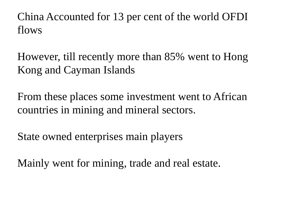China Accounted for 13 per cent of the world OFDI flows

However, till recently more than 85% went to Hong Kong and Cayman Islands

From these places some investment went to African countries in mining and mineral sectors.

State owned enterprises main players

Mainly went for mining, trade and real estate.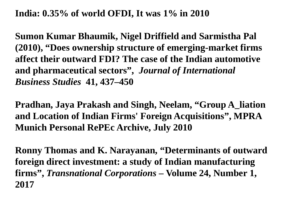#### **India: 0.35% of world OFDI, It was 1% in 2010**

**Sumon Kumar Bhaumik, Nigel Driffield and Sarmistha Pal (2010), "Does ownership structure of emerging-market firms affect their outward FDI? The case of the Indian automotive and pharmaceutical sectors",** *Journal of International Business Studies* **41, 437–450**

**Pradhan, Jaya Prakash and Singh, Neelam, "Group A\_liation and Location of Indian Firms' Foreign Acquisitions", MPRA Munich Personal RePEc Archive, July 2010**

**Ronny Thomas and K. Narayanan, "Determinants of outward foreign direct investment: a study of Indian manufacturing firms",** *Transnational Corporations* **– Volume 24, Number 1, 2017**